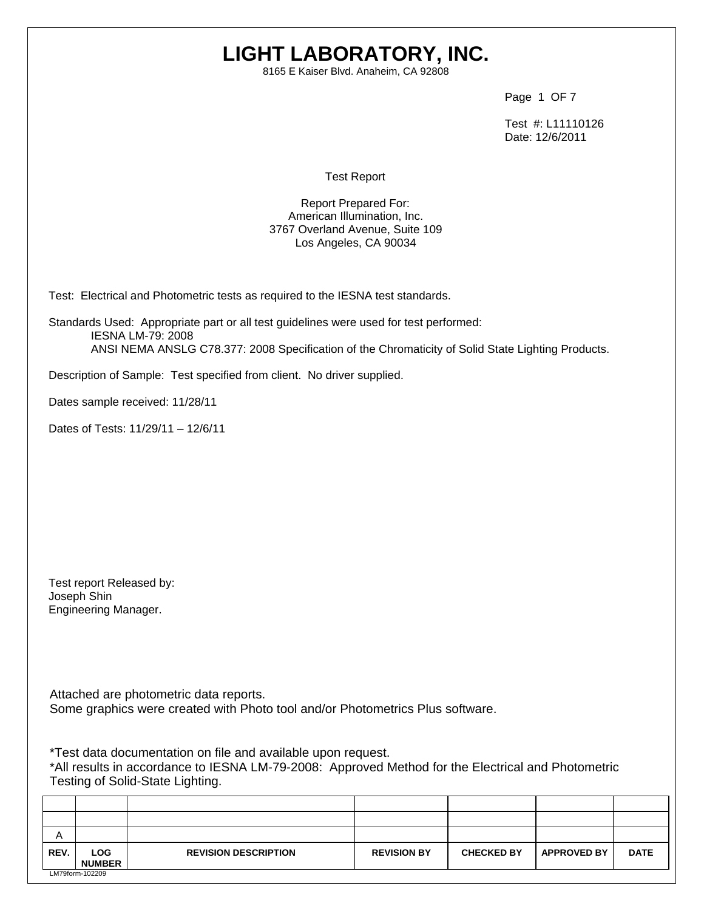## **LIGHT LABORATORY, INC.**

8165 E Kaiser Blvd. Anaheim, CA 92808

Page 1 OF 7

 Test #: L11110126 Date: 12/6/2011

Test Report

Report Prepared For: American Illumination, Inc. 3767 Overland Avenue, Suite 109 Los Angeles, CA 90034

Test: Electrical and Photometric tests as required to the IESNA test standards.

Standards Used: Appropriate part or all test guidelines were used for test performed: IESNA LM-79: 2008 ANSI NEMA ANSLG C78.377: 2008 Specification of the Chromaticity of Solid State Lighting Products.

Description of Sample: Test specified from client. No driver supplied.

Dates sample received: 11/28/11

Dates of Tests: 11/29/11 – 12/6/11

Test report Released by: Joseph Shin Engineering Manager.

Attached are photometric data reports. Some graphics were created with Photo tool and/or Photometrics Plus software.

\*Test data documentation on file and available upon request.

\*All results in accordance to IESNA LM-79-2008: Approved Method for the Electrical and Photometric Testing of Solid-State Lighting.

| A    |                             |                             |                    |                   |                    |             |
|------|-----------------------------|-----------------------------|--------------------|-------------------|--------------------|-------------|
| REV. | <b>LOG</b><br><b>NUMBER</b> | <b>REVISION DESCRIPTION</b> | <b>REVISION BY</b> | <b>CHECKED BY</b> | <b>APPROVED BY</b> | <b>DATE</b> |
|      | LM79form-102209             |                             |                    |                   |                    |             |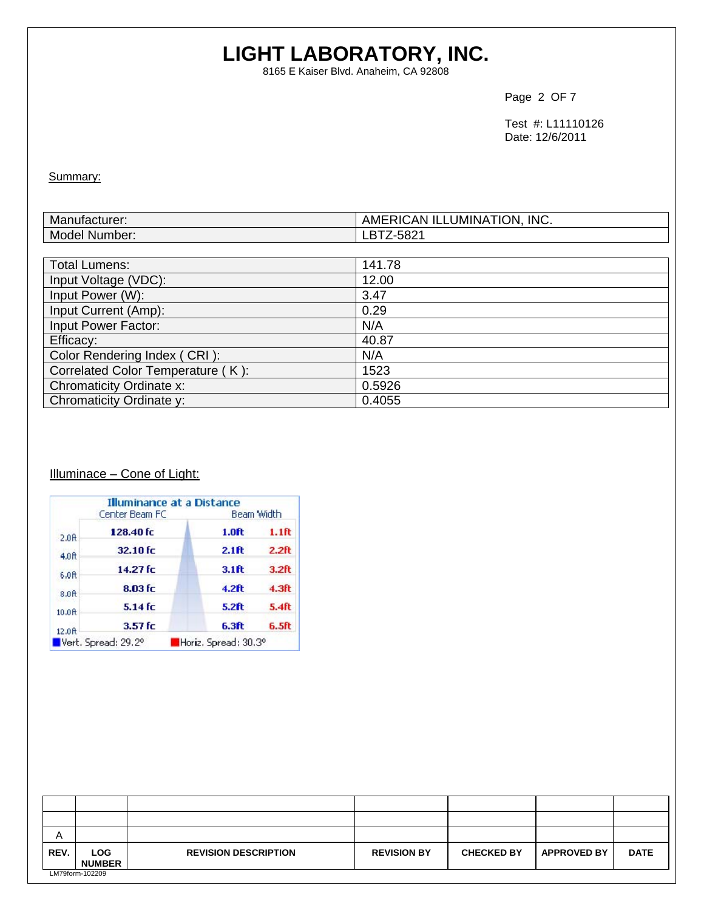# **LIGHT LABORATORY, INC.**

8165 E Kaiser Blvd. Anaheim, CA 92808

Page 2 OF 7

 Test #: L11110126 Date: 12/6/2011

Summary:

| Mar<br>เทนtacturer: | <b>INC</b><br>.<br>TION.<br>∴uCAN ''<br>AM'<br>_UMINA :<br>`IL. |
|---------------------|-----------------------------------------------------------------|
| Model<br>Number:    | roo-<br>שפ⊲<br>LD                                               |

| <b>Total Lumens:</b>              | 141.78 |
|-----------------------------------|--------|
| Input Voltage (VDC):              | 12.00  |
| Input Power (W):                  | 3.47   |
| Input Current (Amp):              | 0.29   |
| Input Power Factor:               | N/A    |
| Efficacy:                         | 40.87  |
| Color Rendering Index (CRI):      | N/A    |
| Correlated Color Temperature (K): | 1523   |
| Chromaticity Ordinate x:          | 0.5926 |
| Chromaticity Ordinate y:          | 0.4055 |

### Illuminace - Cone of Light:

|                    | Center Beam FC      | <b>Illuminance at a Distance</b> | Beam Width        |
|--------------------|---------------------|----------------------------------|-------------------|
| 2.0 <sub>0</sub>   | 128.40 fc           | 1.0 <sub>f</sub>                 | 1.1ft             |
| 4.0 <sub>ft</sub>  | 32.10 fc            | 2.1ft                            | 2.2 <sub>ft</sub> |
| 6.0ft              | 14.27 fc            | 3.1 <sub>f</sub>                 | 3.2 <sub>ft</sub> |
| 8.0 <sub>0</sub>   | 8.03 fc             | $4.2$ ft                         | 4.3 <sub>ft</sub> |
| 10.0 <sub>ft</sub> | $5.14$ fc           | <b>5.2ft</b>                     | 5.4 <sub>ft</sub> |
| 12.0R              | $3.57$ fc           | 6.3ft                            | 6.5 <sub>ft</sub> |
|                    | Vert. Spread: 29.2° | Horiz, Spread: 30.3°             |                   |

| Α    |                       |                             |                    |                   |                    |             |
|------|-----------------------|-----------------------------|--------------------|-------------------|--------------------|-------------|
| REV. | LOG.<br><b>NUMBER</b> | <b>REVISION DESCRIPTION</b> | <b>REVISION BY</b> | <b>CHECKED BY</b> | <b>APPROVED BY</b> | <b>DATE</b> |
|      | LM79form-102209       |                             |                    |                   |                    |             |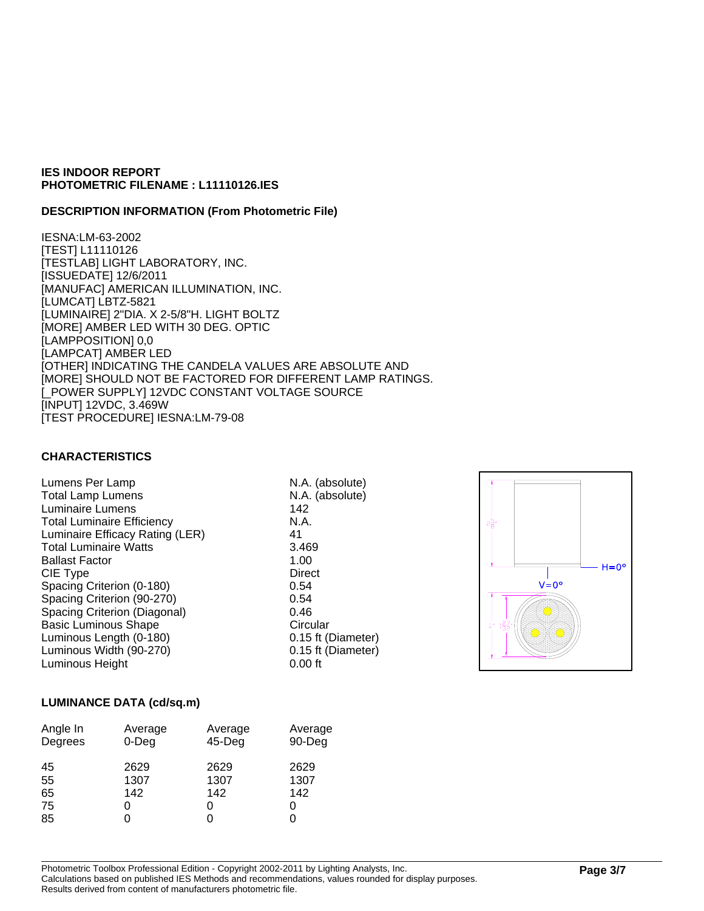#### **DESCRIPTION INFORMATION (From Photometric File)**

IESNA:LM-63-2002 [TEST] L11110126 [TESTLAB] LIGHT LABORATORY, INC. [ISSUEDATE] 12/6/2011 [MANUFAC] AMERICAN ILLUMINATION, INC. [LUMCAT] LBTZ-5821 [LUMINAIRE] 2"DIA. X 2-5/8"H. LIGHT BOLTZ [MORE] AMBER LED WITH 30 DEG. OPTIC [LAMPPOSITION] 0,0 [LAMPCAT] AMBER LED [OTHER] INDICATING THE CANDELA VALUES ARE ABSOLUTE AND [MORE] SHOULD NOT BE FACTORED FOR DIFFERENT LAMP RATINGS. [\_POWER SUPPLY] 12VDC CONSTANT VOLTAGE SOURCE [INPUT] 12VDC, 3.469W [TEST PROCEDURE] IESNA:LM-79-08

#### **CHARACTERISTICS**

Lumens Per Lamp N.A. (absolute) Total Lamp Lumens N.A. (absolute) Luminaire Lumens 142 Total Luminaire Efficiency **N.A.** Luminaire Efficacy Rating (LER) 41 Total Luminaire Watts 3.469 Ballast Factor 1.00 CIE Type Direct Spacing Criterion (0-180) 0.54 Spacing Criterion (90-270) 0.54 Spacing Criterion (Diagonal) 0.46 Basic Luminous Shape Circular Luminous Length (0-180) 0.15 ft (Diameter) Luminous Width (90-270) 0.15 ft (Diameter)<br>
Luminous Height 0.00 ft Luminous Height



#### **LUMINANCE DATA (cd/sq.m)**

| Angle In<br>Degrees | Average<br>$0$ -Deg | Average<br>$45$ -Deg | Average<br>90-Deg |
|---------------------|---------------------|----------------------|-------------------|
| 45<br>55            | 2629<br>1307        | 2629<br>1307         | 2629<br>1307      |
| 65                  | 142                 | 142                  | 142               |
| 75                  | O                   |                      | 0                 |
| 85                  | ი                   |                      |                   |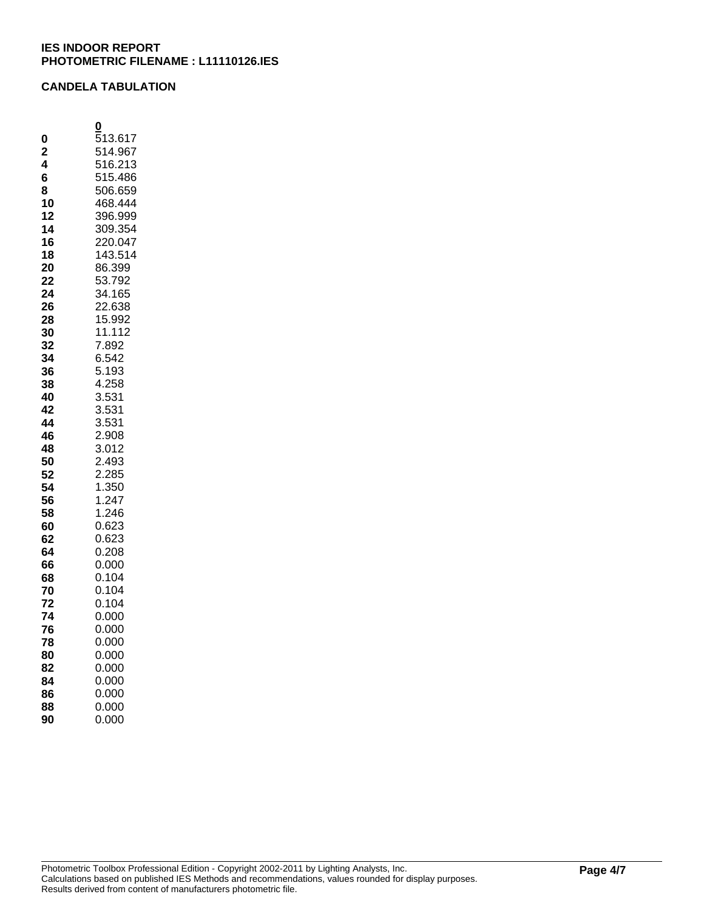#### **CANDELA TABULATION**

|                | 0              |
|----------------|----------------|
| 0              | 513.617        |
| $\overline{2}$ | 514.967        |
| 4              | 516.213        |
| 6              | 515.486        |
| 8              | 506.659        |
| 10             | 468.444        |
| 12             | 396.999        |
| 14             | 309.354        |
| 16             | 220.047        |
| 18             | 143.514        |
| 20             | 86.399         |
| 22             | 53.792         |
| 24             | 34.165         |
| 26             | 22.638         |
| 28             | 15.992         |
| 30             | 11.112         |
| 32             | 7.892          |
| 34             | 6.542          |
| 36             | 5.193<br>4.258 |
| 38<br>40       | 3.531          |
| 42             | 3.531          |
| 44             | 3.531          |
| 46             | 2.908          |
| 48             | 3.012          |
| 50             | 2.493          |
| 52             | 2.285          |
| 54             | 1.350          |
| 56             | 1.247          |
| 58             | 1.246          |
| 60             | 0.623          |
| 62             | 0.623          |
| 64             | 0.208          |
| 66             | 0.000          |
| 68             | 0.104          |
| 70             | 0.104          |
| 72             | 0.104          |
| 74             | 0.000          |
| 76             | 0.000          |
| 78             | 0.000          |
| 80             | 0.000          |
| 82             | 0.000          |
| 84             | 0.000          |
| 86             | 0.000          |
| 88             | 0.000          |
| 90             | 0.000          |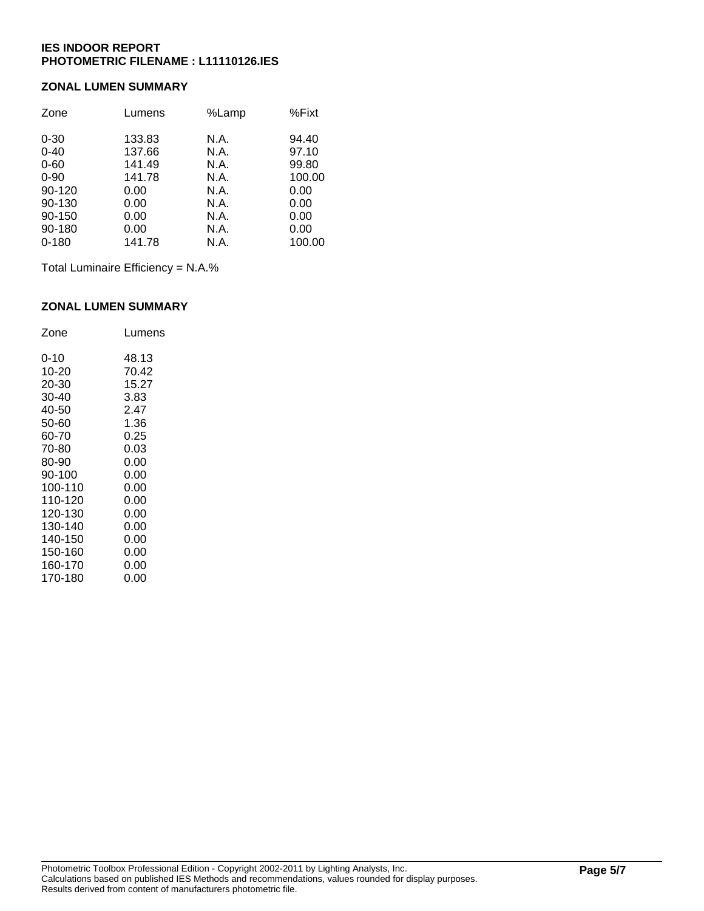#### **ZONAL LUMEN SUMMARY**

| Zone      | Lumens | %Lamp | %Fixt  |
|-----------|--------|-------|--------|
| $0 - 30$  | 133.83 | N.A.  | 94.40  |
| $0 - 40$  | 137.66 | N.A.  | 97.10  |
| $0 - 60$  | 141.49 | N.A.  | 99.80  |
| $0 - 90$  | 141.78 | N.A.  | 100.00 |
| 90-120    | 0.00   | N.A.  | 0.00   |
| 90-130    | 0.00   | N.A.  | 0.00   |
| 90-150    | 0.00   | N.A.  | 0.00   |
| 90-180    | 0.00   | N.A.  | 0.00   |
| $0 - 180$ | 141.78 | N.A.  | 100.00 |

Total Luminaire Efficiency = N.A.%

#### **ZONAL LUMEN SUMMARY**

| Zone    | Lumens |
|---------|--------|
| 0-10    | 48.13  |
| 10-20   | 70.42  |
| 20-30   | 15.27  |
| 30-40   | 3.83   |
| 40-50   | 2.47   |
| 50-60   | 1.36   |
| 60-70   | 0.25   |
| 70-80   | 0.03   |
| 80-90   | 0.00   |
| 90-100  | 0.00   |
| 100-110 | 0.00   |
| 110-120 | 0.00   |
| 120-130 | 0.00   |
| 130-140 | 0.00   |
| 140-150 | 0.00   |
| 150-160 | 0.00   |
| 160-170 | 0.00   |
| 170-180 | 0.00   |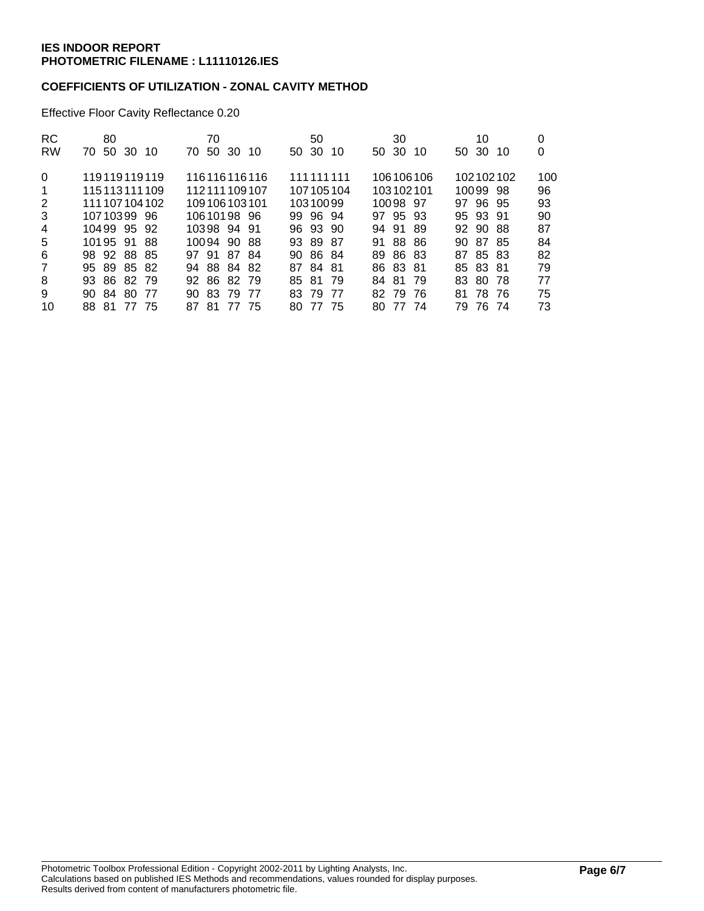#### **COEFFICIENTS OF UTILIZATION - ZONAL CAVITY METHOD**

Effective Floor Cavity Reflectance 0.20

| RC.<br><b>RW</b>                 | 80<br>70 50 30 10                                                                                              | 70<br>70 50 30 10                                                                                        | 50<br>50 30<br>10                                                                  | 30<br>50 30<br>10                                                                              | 10<br>50 30 10                                                                                      | 0<br>0                                  |
|----------------------------------|----------------------------------------------------------------------------------------------------------------|----------------------------------------------------------------------------------------------------------|------------------------------------------------------------------------------------|------------------------------------------------------------------------------------------------|-----------------------------------------------------------------------------------------------------|-----------------------------------------|
| 0<br>-1<br>2<br>3<br>4<br>5<br>6 | 119119119119<br>115113111109<br>111 107 104 102<br>10710399 96<br>10499 95 92<br>1019591<br>-88<br>98 92 88 85 | 116116116116<br>112111109107<br>109106103101<br>10610198 96<br>10398 94 91<br>10094 90 88<br>97 91 87 84 | 111111111<br>107105104<br>10310099<br>99 96 94<br>96 93 90<br>93 89 87<br>90 86 84 | 106106106<br>103102101<br>10098 97<br>97 95 93<br>94 91<br>-89<br>-88<br>-86<br>91<br>89 86 83 | 102102102<br>10099 98<br>97 96 95<br>95 93 91<br>92 90<br>- 88<br>-87<br>90.<br>-85<br>85 83<br>87. | 100<br>96<br>93<br>90<br>87<br>84<br>82 |
| $\overline{7}$<br>8<br>9<br>10   | 95 89 85 82<br>93 86 82 79<br>90 84 80<br>- 77<br>77<br>88 81<br>- 75                                          | 94 88 84 82<br>92 86 82 79<br>90 83 79<br>-77<br>87 81<br>77<br>- 75                                     | 87 84 81<br>- 79<br>85 81<br>79<br>-77<br>83.<br>77<br>-75<br>80.                  | 86 83 81<br>-81<br>-79<br>84<br>-79<br>82.<br>-76<br>77<br>-74<br>80.                          | 85 83 81<br>83.<br>-80.<br>-78<br>78 76<br>81<br>76.<br>79<br>-74                                   | 79<br>77<br>75<br>73                    |